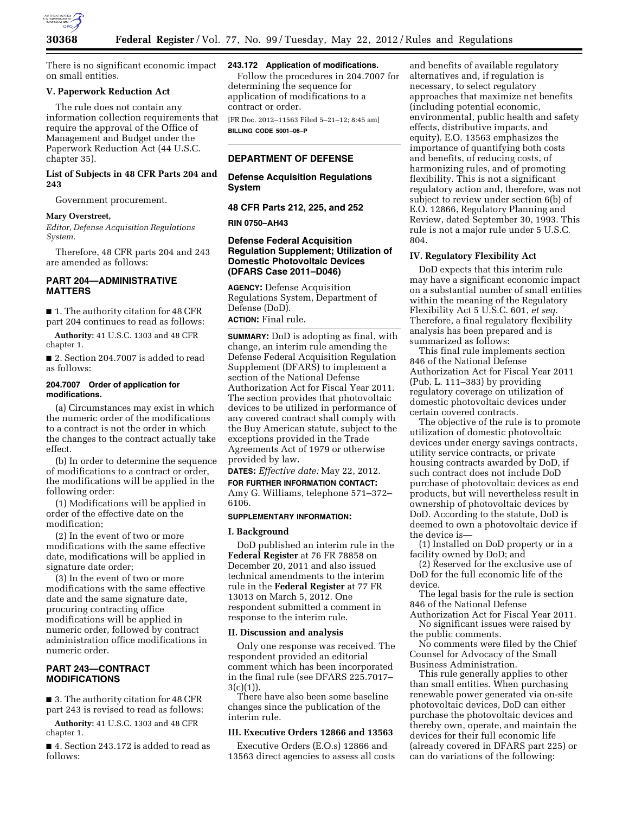

There is no significant economic impact on small entities.

# **V. Paperwork Reduction Act**

The rule does not contain any information collection requirements that require the approval of the Office of Management and Budget under the Paperwork Reduction Act (44 U.S.C. chapter 35).

# **List of Subjects in 48 CFR Parts 204 and 243**

Government procurement.

### **Mary Overstreet,**

*Editor, Defense Acquisition Regulations System.* 

Therefore, 48 CFR parts 204 and 243 are amended as follows:

# **PART 204—ADMINISTRATIVE MATTERS**

■ 1. The authority citation for 48 CFR part 204 continues to read as follows:

**Authority:** 41 U.S.C. 1303 and 48 CFR chapter 1.

■ 2. Section 204.7007 is added to read as follows:

## **204.7007 Order of application for modifications.**

(a) Circumstances may exist in which the numeric order of the modifications to a contract is not the order in which the changes to the contract actually take effect.

(b) In order to determine the sequence of modifications to a contract or order, the modifications will be applied in the following order:

(1) Modifications will be applied in order of the effective date on the modification;

(2) In the event of two or more modifications with the same effective date, modifications will be applied in signature date order;

(3) In the event of two or more modifications with the same effective date and the same signature date, procuring contracting office modifications will be applied in numeric order, followed by contract administration office modifications in numeric order.

# **PART 243—CONTRACT MODIFICATIONS**

■ 3. The authority citation for 48 CFR part 243 is revised to read as follows:

**Authority:** 41 U.S.C. 1303 and 48 CFR chapter 1.

■ 4. Section 243.172 is added to read as follows:

## **243.172 Application of modifications.**

Follow the procedures in 204.7007 for determining the sequence for application of modifications to a contract or order.

[FR Doc. 2012–11563 Filed 5–21–12; 8:45 am] **BILLING CODE 5001–06–P** 

# **DEPARTMENT OF DEFENSE**

**Defense Acquisition Regulations System** 

**48 CFR Parts 212, 225, and 252** 

### **RIN 0750–AH43**

# **Defense Federal Acquisition Regulation Supplement; Utilization of Domestic Photovoltaic Devices (DFARS Case 2011–D046)**

**AGENCY:** Defense Acquisition Regulations System, Department of Defense (DoD). **ACTION:** Final rule.

**SUMMARY:** DoD is adopting as final, with change, an interim rule amending the Defense Federal Acquisition Regulation Supplement (DFARS) to implement a section of the National Defense Authorization Act for Fiscal Year 2011. The section provides that photovoltaic devices to be utilized in performance of any covered contract shall comply with the Buy American statute, subject to the exceptions provided in the Trade Agreements Act of 1979 or otherwise provided by law.

**DATES:** *Effective date:* May 22, 2012. **FOR FURTHER INFORMATION CONTACT:**  Amy G. Williams, telephone 571–372– 6106.

#### **SUPPLEMENTARY INFORMATION:**

### **I. Background**

DoD published an interim rule in the **Federal Register** at 76 FR 78858 on December 20, 2011 and also issued technical amendments to the interim rule in the **Federal Register** at 77 FR 13013 on March 5, 2012. One respondent submitted a comment in response to the interim rule.

### **II. Discussion and analysis**

Only one response was received. The respondent provided an editorial comment which has been incorporated in the final rule (see DFARS 225.7017– 3(c)(1)).

There have also been some baseline changes since the publication of the interim rule.

# **III. Executive Orders 12866 and 13563**

Executive Orders (E.O.s) 12866 and 13563 direct agencies to assess all costs

and benefits of available regulatory alternatives and, if regulation is necessary, to select regulatory approaches that maximize net benefits (including potential economic, environmental, public health and safety effects, distributive impacts, and equity). E.O. 13563 emphasizes the importance of quantifying both costs and benefits, of reducing costs, of harmonizing rules, and of promoting flexibility. This is not a significant regulatory action and, therefore, was not subject to review under section 6(b) of E.O. 12866, Regulatory Planning and Review, dated September 30, 1993. This rule is not a major rule under 5 U.S.C. 804.

### **IV. Regulatory Flexibility Act**

DoD expects that this interim rule may have a significant economic impact on a substantial number of small entities within the meaning of the Regulatory Flexibility Act 5 U.S.C. 601, *et seq.*  Therefore, a final regulatory flexibility analysis has been prepared and is summarized as follows:

This final rule implements section 846 of the National Defense Authorization Act for Fiscal Year 2011 (Pub. L. 111–383) by providing regulatory coverage on utilization of domestic photovoltaic devices under certain covered contracts.

The objective of the rule is to promote utilization of domestic photovoltaic devices under energy savings contracts, utility service contracts, or private housing contracts awarded by DoD, if such contract does not include DoD purchase of photovoltaic devices as end products, but will nevertheless result in ownership of photovoltaic devices by DoD. According to the statute, DoD is deemed to own a photovoltaic device if the device is—

(1) Installed on DoD property or in a facility owned by DoD; and

(2) Reserved for the exclusive use of DoD for the full economic life of the device.

The legal basis for the rule is section 846 of the National Defense

Authorization Act for Fiscal Year 2011. No significant issues were raised by the public comments.

No comments were filed by the Chief Counsel for Advocacy of the Small Business Administration.

This rule generally applies to other than small entities. When purchasing renewable power generated via on-site photovoltaic devices, DoD can either purchase the photovoltaic devices and thereby own, operate, and maintain the devices for their full economic life (already covered in DFARS part 225) or can do variations of the following: